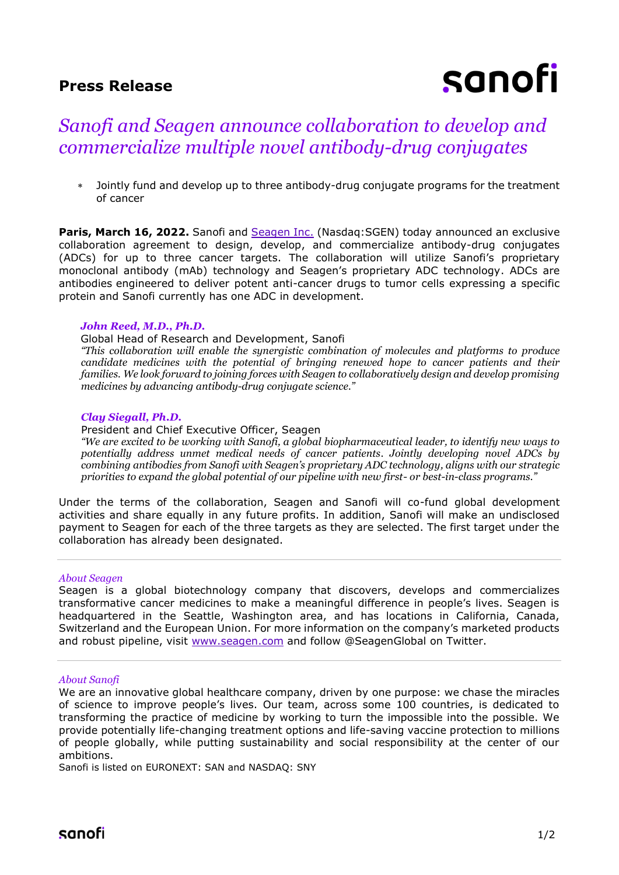### **Press Release**

# sanofi

## *Sanofi and Seagen announce collaboration to develop and commercialize multiple novel antibody-drug conjugates*

 Jointly fund and develop up to three antibody-drug conjugate programs for the treatment of cancer

Paris, March 16, 2022. Sanofi and **[Seagen Inc.](http://www.seagen.com/)** (Nasdaq:SGEN) today announced an exclusive collaboration agreement to design, develop, and commercialize antibody-drug conjugates (ADCs) for up to three cancer targets. The collaboration will utilize Sanofi's proprietary monoclonal antibody (mAb) technology and Seagen's proprietary ADC technology. ADCs are antibodies engineered to deliver potent anti-cancer drugs to tumor cells expressing a specific protein and Sanofi currently has one ADC in development.

#### *John Reed, M.D., Ph.D.*

#### Global Head of Research and Development, Sanofi

*"This collaboration will enable the synergistic combination of molecules and platforms to produce candidate medicines with the potential of bringing renewed hope to cancer patients and their families. We look forward to joining forces with Seagen to collaboratively design and develop promising medicines by advancing antibody-drug conjugate science."*

#### *Clay Siegall, Ph.D.*

President and Chief Executive Officer, Seagen

*"We are excited to be working with Sanofi, a global biopharmaceutical leader, to identify new ways to potentially address unmet medical needs of cancer patients. Jointly developing novel ADCs by combining antibodies from Sanofi with Seagen's proprietary ADC technology, aligns with our strategic priorities to expand the global potential of our pipeline with new first- or best-in-class programs."*

Under the terms of the collaboration, Seagen and Sanofi will co-fund global development activities and share equally in any future profits. In addition, Sanofi will make an undisclosed payment to Seagen for each of the three targets as they are selected. The first target under the collaboration has already been designated.

#### *About Seagen*

Seagen is a global biotechnology company that discovers, develops and commercializes transformative cancer medicines to make a meaningful difference in people's lives. Seagen is headquartered in the Seattle, Washington area, and has locations in California, Canada, Switzerland and the European Union. For more information on the company's marketed products and robust pipeline, visit [www.seagen.com](http://www.seagen.com/) and follow @SeagenGlobal on Twitter.

#### *About Sanofi*

We are an innovative global healthcare company, driven by one purpose: we chase the miracles of science to improve people's lives. Our team, across some 100 countries, is dedicated to transforming the practice of medicine by working to turn the impossible into the possible. We provide potentially life-changing treatment options and life-saving vaccine protection to millions of people globally, while putting sustainability and social responsibility at the center of our ambitions.

Sanofi is listed on EURONEXT: SAN and NASDAQ: SNY